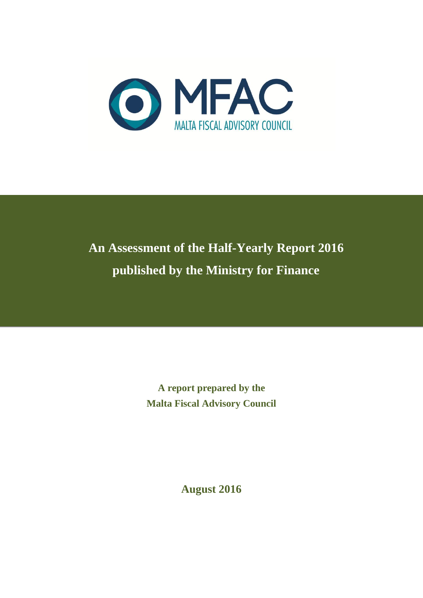

# **An Assessment of the Half-Yearly Report 2016 published by the Ministry for Finance**

**A report prepared by the Malta Fiscal Advisory Council**

**August 2016**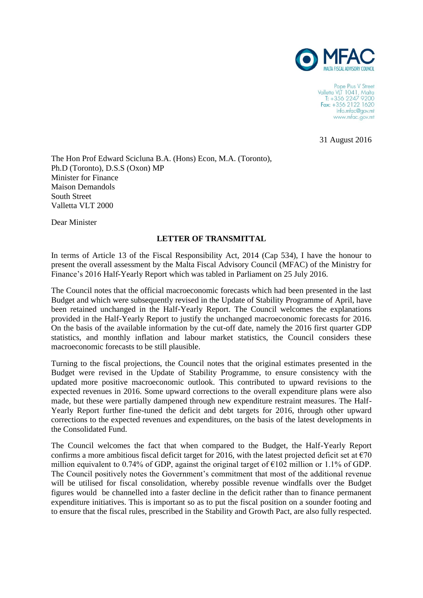

Pope Pius V Street Valletta VLT 1041, Malta<br>T: +356 2247 9200 Fax: +356 2122 1620 info.mfac@gov.mt www.mfac.gov.mt

31 August 2016

The Hon Prof Edward Scicluna B.A. (Hons) Econ, M.A. (Toronto), Ph.D (Toronto), D.S.S (Oxon) MP Minister for Finance Maison Demandols South Street Valletta VLT 2000

Dear Minister

### **LETTER OF TRANSMITTAL**

In terms of Article 13 of the Fiscal Responsibility Act, 2014 (Cap 534), I have the honour to present the overall assessment by the Malta Fiscal Advisory Council (MFAC) of the Ministry for Finance's 2016 Half-Yearly Report which was tabled in Parliament on 25 July 2016.

The Council notes that the official macroeconomic forecasts which had been presented in the last Budget and which were subsequently revised in the Update of Stability Programme of April, have been retained unchanged in the Half-Yearly Report. The Council welcomes the explanations provided in the Half-Yearly Report to justify the unchanged macroeconomic forecasts for 2016. On the basis of the available information by the cut-off date, namely the 2016 first quarter GDP statistics, and monthly inflation and labour market statistics, the Council considers these macroeconomic forecasts to be still plausible.

Turning to the fiscal projections, the Council notes that the original estimates presented in the Budget were revised in the Update of Stability Programme, to ensure consistency with the updated more positive macroeconomic outlook. This contributed to upward revisions to the expected revenues in 2016. Some upward corrections to the overall expenditure plans were also made, but these were partially dampened through new expenditure restraint measures. The Half-Yearly Report further fine-tuned the deficit and debt targets for 2016, through other upward corrections to the expected revenues and expenditures, on the basis of the latest developments in the Consolidated Fund.

The Council welcomes the fact that when compared to the Budget, the Half-Yearly Report confirms a more ambitious fiscal deficit target for 2016, with the latest projected deficit set at  $\epsilon$ 70 million equivalent to 0.74% of GDP, against the original target of  $\epsilon$ 102 million or 1.1% of GDP. The Council positively notes the Government's commitment that most of the additional revenue will be utilised for fiscal consolidation, whereby possible revenue windfalls over the Budget figures would be channelled into a faster decline in the deficit rather than to finance permanent expenditure initiatives. This is important so as to put the fiscal position on a sounder footing and to ensure that the fiscal rules, prescribed in the Stability and Growth Pact, are also fully respected.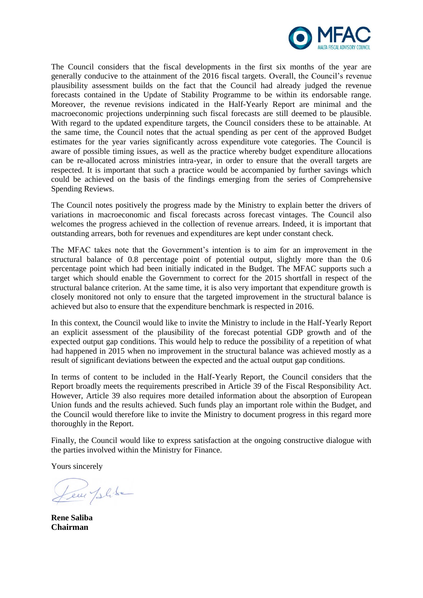

The Council considers that the fiscal developments in the first six months of the year are generally conducive to the attainment of the 2016 fiscal targets. Overall, the Council's revenue plausibility assessment builds on the fact that the Council had already judged the revenue forecasts contained in the Update of Stability Programme to be within its endorsable range. Moreover, the revenue revisions indicated in the Half-Yearly Report are minimal and the macroeconomic projections underpinning such fiscal forecasts are still deemed to be plausible. With regard to the updated expenditure targets, the Council considers these to be attainable. At the same time, the Council notes that the actual spending as per cent of the approved Budget estimates for the year varies significantly across expenditure vote categories. The Council is aware of possible timing issues, as well as the practice whereby budget expenditure allocations can be re-allocated across ministries intra-year, in order to ensure that the overall targets are respected. It is important that such a practice would be accompanied by further savings which could be achieved on the basis of the findings emerging from the series of Comprehensive Spending Reviews.

The Council notes positively the progress made by the Ministry to explain better the drivers of variations in macroeconomic and fiscal forecasts across forecast vintages. The Council also welcomes the progress achieved in the collection of revenue arrears. Indeed, it is important that outstanding arrears, both for revenues and expenditures are kept under constant check.

The MFAC takes note that the Government's intention is to aim for an improvement in the structural balance of 0.8 percentage point of potential output, slightly more than the 0.6 percentage point which had been initially indicated in the Budget. The MFAC supports such a target which should enable the Government to correct for the 2015 shortfall in respect of the structural balance criterion. At the same time, it is also very important that expenditure growth is closely monitored not only to ensure that the targeted improvement in the structural balance is achieved but also to ensure that the expenditure benchmark is respected in 2016.

In this context, the Council would like to invite the Ministry to include in the Half-Yearly Report an explicit assessment of the plausibility of the forecast potential GDP growth and of the expected output gap conditions. This would help to reduce the possibility of a repetition of what had happened in 2015 when no improvement in the structural balance was achieved mostly as a result of significant deviations between the expected and the actual output gap conditions.

In terms of content to be included in the Half-Yearly Report, the Council considers that the Report broadly meets the requirements prescribed in Article 39 of the Fiscal Responsibility Act. However, Article 39 also requires more detailed information about the absorption of European Union funds and the results achieved. Such funds play an important role within the Budget, and the Council would therefore like to invite the Ministry to document progress in this regard more thoroughly in the Report.

Finally, the Council would like to express satisfaction at the ongoing constructive dialogue with the parties involved within the Ministry for Finance.

Yours sincerely

Leur Jelike

**Rene Saliba Chairman**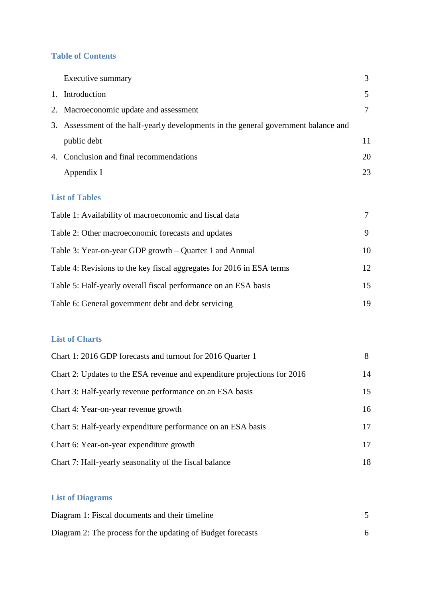# **Table of Contents**

| Executive summary                                                                   | 3      |
|-------------------------------------------------------------------------------------|--------|
| 1. Introduction                                                                     | 5      |
| 2. Macroeconomic update and assessment                                              | 7      |
| 3. Assessment of the half-yearly developments in the general government balance and |        |
| public debt                                                                         | 11     |
| 4. Conclusion and final recommendations                                             | 20     |
| Appendix I                                                                          | 23     |
| <b>List of Tables</b>                                                               |        |
| Table 1: Availability of macroeconomic and fiscal data                              | $\tau$ |
| Table 2: Other macroeconomic forecasts and updates                                  | 9      |
| Table 3: Year-on-year GDP growth – Quarter 1 and Annual                             | 10     |
| Table 4: Revisions to the key fiscal aggregates for 2016 in ESA terms               | 12     |
| Table 5: Half-yearly overall fiscal performance on an ESA basis                     | 15     |
|                                                                                     |        |

Table 6: General government debt and debt servicing 19

# **List of Charts**

| Chart 1: 2016 GDP forecasts and turnout for 2016 Quarter 1               | 8  |
|--------------------------------------------------------------------------|----|
| Chart 2: Updates to the ESA revenue and expenditure projections for 2016 | 14 |
| Chart 3: Half-yearly revenue performance on an ESA basis                 | 15 |
| Chart 4: Year-on-year revenue growth                                     | 16 |
| Chart 5: Half-yearly expenditure performance on an ESA basis             | 17 |
| Chart 6: Year-on-year expenditure growth                                 | 17 |
| Chart 7: Half-yearly seasonality of the fiscal balance                   | 18 |

# **List of Diagrams**

| Diagram 1: Fiscal documents and their timeline              |  |
|-------------------------------------------------------------|--|
| Diagram 2: The process for the updating of Budget forecasts |  |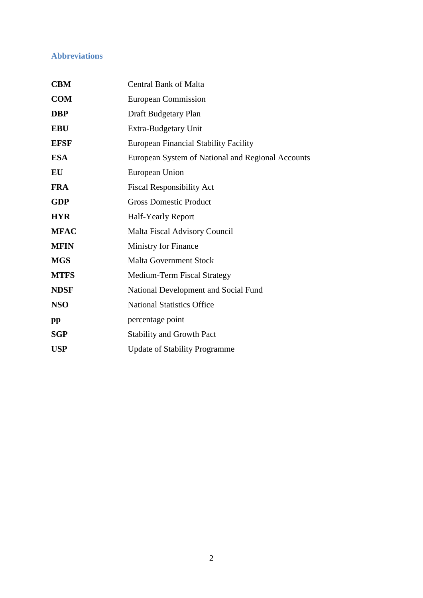# **Abbreviations**

| <b>CBM</b>  | <b>Central Bank of Malta</b>                      |
|-------------|---------------------------------------------------|
| <b>COM</b>  | European Commission                               |
| <b>DBP</b>  | Draft Budgetary Plan                              |
| <b>EBU</b>  | Extra-Budgetary Unit                              |
| <b>EFSF</b> | <b>European Financial Stability Facility</b>      |
| <b>ESA</b>  | European System of National and Regional Accounts |
| EU          | European Union                                    |
| <b>FRA</b>  | <b>Fiscal Responsibility Act</b>                  |
| <b>GDP</b>  | <b>Gross Domestic Product</b>                     |
| <b>HYR</b>  | <b>Half-Yearly Report</b>                         |
| <b>MFAC</b> | <b>Malta Fiscal Advisory Council</b>              |
| <b>MFIN</b> | Ministry for Finance                              |
| <b>MGS</b>  | <b>Malta Government Stock</b>                     |
| <b>MTFS</b> | Medium-Term Fiscal Strategy                       |
| <b>NDSF</b> | National Development and Social Fund              |
| <b>NSO</b>  | <b>National Statistics Office</b>                 |
| pp          | percentage point                                  |
| <b>SGP</b>  | <b>Stability and Growth Pact</b>                  |
| <b>USP</b>  | <b>Update of Stability Programme</b>              |
|             |                                                   |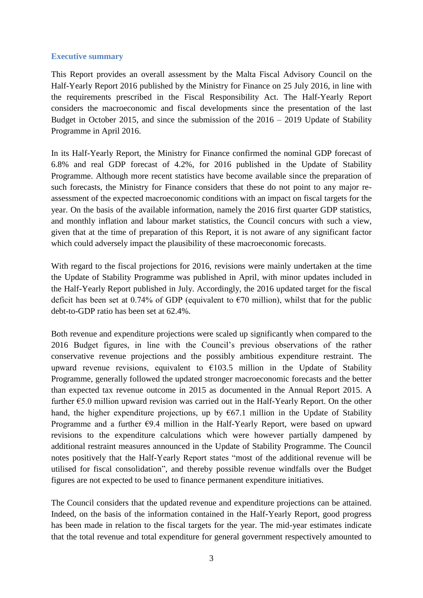### **Executive summary**

This Report provides an overall assessment by the Malta Fiscal Advisory Council on the Half-Yearly Report 2016 published by the Ministry for Finance on 25 July 2016, in line with the requirements prescribed in the Fiscal Responsibility Act. The Half-Yearly Report considers the macroeconomic and fiscal developments since the presentation of the last Budget in October 2015, and since the submission of the 2016 – 2019 Update of Stability Programme in April 2016.

In its Half-Yearly Report, the Ministry for Finance confirmed the nominal GDP forecast of 6.8% and real GDP forecast of 4.2%, for 2016 published in the Update of Stability Programme. Although more recent statistics have become available since the preparation of such forecasts, the Ministry for Finance considers that these do not point to any major reassessment of the expected macroeconomic conditions with an impact on fiscal targets for the year. On the basis of the available information, namely the 2016 first quarter GDP statistics, and monthly inflation and labour market statistics, the Council concurs with such a view, given that at the time of preparation of this Report, it is not aware of any significant factor which could adversely impact the plausibility of these macroeconomic forecasts.

With regard to the fiscal projections for 2016, revisions were mainly undertaken at the time the Update of Stability Programme was published in April, with minor updates included in the Half-Yearly Report published in July. Accordingly, the 2016 updated target for the fiscal deficit has been set at 0.74% of GDP (equivalent to  $\epsilon$ 70 million), whilst that for the public debt-to-GDP ratio has been set at 62.4%.

Both revenue and expenditure projections were scaled up significantly when compared to the 2016 Budget figures, in line with the Council's previous observations of the rather conservative revenue projections and the possibly ambitious expenditure restraint. The upward revenue revisions, equivalent to  $\epsilon$ 103.5 million in the Update of Stability Programme, generally followed the updated stronger macroeconomic forecasts and the better than expected tax revenue outcome in 2015 as documented in the Annual Report 2015. A further €5.0 million upward revision was carried out in the Half-Yearly Report. On the other hand, the higher expenditure projections, up by  $\epsilon$ 67.1 million in the Update of Stability Programme and a further  $E9.4$  million in the Half-Yearly Report, were based on upward revisions to the expenditure calculations which were however partially dampened by additional restraint measures announced in the Update of Stability Programme. The Council notes positively that the Half-Yearly Report states "most of the additional revenue will be utilised for fiscal consolidation", and thereby possible revenue windfalls over the Budget figures are not expected to be used to finance permanent expenditure initiatives.

The Council considers that the updated revenue and expenditure projections can be attained. Indeed, on the basis of the information contained in the Half-Yearly Report, good progress has been made in relation to the fiscal targets for the year. The mid-year estimates indicate that the total revenue and total expenditure for general government respectively amounted to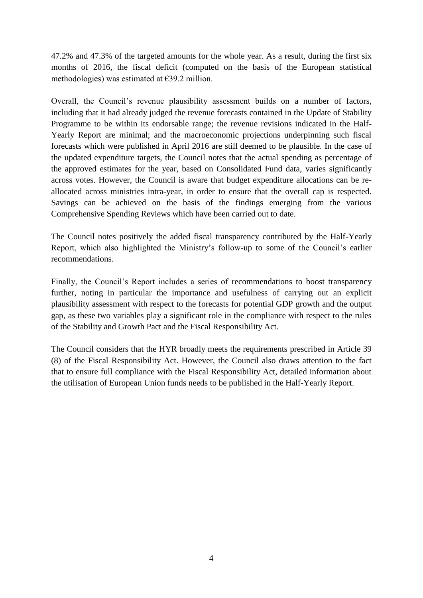47.2% and 47.3% of the targeted amounts for the whole year. As a result, during the first six months of 2016, the fiscal deficit (computed on the basis of the European statistical methodologies) was estimated at €39.2 million.

Overall, the Council's revenue plausibility assessment builds on a number of factors, including that it had already judged the revenue forecasts contained in the Update of Stability Programme to be within its endorsable range; the revenue revisions indicated in the Half-Yearly Report are minimal; and the macroeconomic projections underpinning such fiscal forecasts which were published in April 2016 are still deemed to be plausible. In the case of the updated expenditure targets, the Council notes that the actual spending as percentage of the approved estimates for the year, based on Consolidated Fund data, varies significantly across votes. However, the Council is aware that budget expenditure allocations can be reallocated across ministries intra-year, in order to ensure that the overall cap is respected. Savings can be achieved on the basis of the findings emerging from the various Comprehensive Spending Reviews which have been carried out to date.

The Council notes positively the added fiscal transparency contributed by the Half-Yearly Report, which also highlighted the Ministry's follow-up to some of the Council's earlier recommendations.

Finally, the Council's Report includes a series of recommendations to boost transparency further, noting in particular the importance and usefulness of carrying out an explicit plausibility assessment with respect to the forecasts for potential GDP growth and the output gap, as these two variables play a significant role in the compliance with respect to the rules of the Stability and Growth Pact and the Fiscal Responsibility Act.

The Council considers that the HYR broadly meets the requirements prescribed in Article 39 (8) of the Fiscal Responsibility Act. However, the Council also draws attention to the fact that to ensure full compliance with the Fiscal Responsibility Act, detailed information about the utilisation of European Union funds needs to be published in the Half-Yearly Report.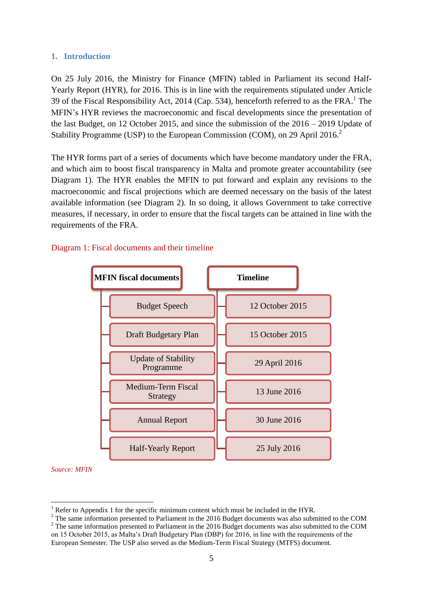### **1. Introduction**

On 25 July 2016, the Ministry for Finance (MFIN) tabled in Parliament its second Half-Yearly Report (HYR), for 2016. This is in line with the requirements stipulated under Article 39 of the Fiscal Responsibility Act, 2014 (Cap. 534), henceforth referred to as the FRA.<sup>1</sup> The MFIN's HYR reviews the macroeconomic and fiscal developments since the presentation of the last Budget, on 12 October 2015, and since the submission of the 2016 – 2019 Update of Stability Programme (USP) to the European Commission (COM), on 29 April 2016.<sup>2</sup>

The HYR forms part of a series of documents which have become mandatory under the FRA, and which aim to boost fiscal transparency in Malta and promote greater accountability (see Diagram 1). The HYR enables the MFIN to put forward and explain any revisions to the macroeconomic and fiscal projections which are deemed necessary on the basis of the latest available information (see Diagram 2). In so doing, it allows Government to take corrective measures, if necessary, in order to ensure that the fiscal targets can be attained in line with the requirements of the FRA.

### Diagram 1: Fiscal documents and their timeline



*Source: MFIN*

<u>.</u>

Refer to Appendix 1 for the specific minimum content which must be included in the HYR.

<sup>&</sup>lt;sup>2</sup> The same information presented to Parliament in the 2016 Budget documents was also submitted to the COM <sup>2</sup> The same information presented to Parliament in the 2016 Budget documents was also submitted to the COM on 15 October 2015, as Malta's Draft Budgetary Plan (DBP) for 2016, in line with the requirements of the

European Semester. The USP also served as the Medium-Term Fiscal Strategy (MTFS) document.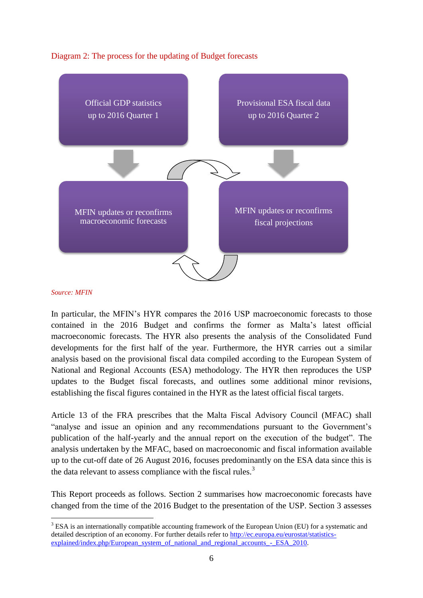



#### *Source: MFIN*

<u>.</u>

In particular, the MFIN's HYR compares the 2016 USP macroeconomic forecasts to those contained in the 2016 Budget and confirms the former as Malta's latest official macroeconomic forecasts. The HYR also presents the analysis of the Consolidated Fund developments for the first half of the year. Furthermore, the HYR carries out a similar analysis based on the provisional fiscal data compiled according to the European System of National and Regional Accounts (ESA) methodology. The HYR then reproduces the USP updates to the Budget fiscal forecasts, and outlines some additional minor revisions, establishing the fiscal figures contained in the HYR as the latest official fiscal targets.

Article 13 of the FRA prescribes that the Malta Fiscal Advisory Council (MFAC) shall "analyse and issue an opinion and any recommendations pursuant to the Government's publication of the half-yearly and the annual report on the execution of the budget". The analysis undertaken by the MFAC, based on macroeconomic and fiscal information available up to the cut-off date of 26 August 2016, focuses predominantly on the ESA data since this is the data relevant to assess compliance with the fiscal rules. $3$ 

This Report proceeds as follows. Section 2 summarises how macroeconomic forecasts have changed from the time of the 2016 Budget to the presentation of the USP. Section 3 assesses

 $3$  ESA is an internationally compatible accounting framework of the European Union (EU) for a systematic and detailed description of an economy. For further details refer to [http://ec.europa.eu/eurostat/statistics](http://ec.europa.eu/eurostat/statistics-explained/index.php/European_system_of_national_and_regional_accounts_-_ESA_2010)explained/index.php/European system of national and regional accounts - ESA 2010.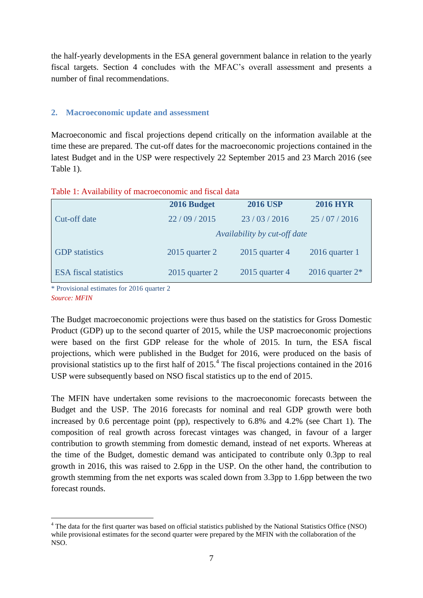the half-yearly developments in the ESA general government balance in relation to the yearly fiscal targets. Section 4 concludes with the MFAC's overall assessment and presents a number of final recommendations.

### **2. Macroeconomic update and assessment**

Macroeconomic and fiscal projections depend critically on the information available at the time these are prepared. The cut-off dates for the macroeconomic projections contained in the latest Budget and in the USP were respectively 22 September 2015 and 23 March 2016 (see Table 1).

| Table 1: Availability of macroeconomic and fiscal data |  |  |
|--------------------------------------------------------|--|--|
|                                                        |  |  |

|                              | 2016 Budget                  | <b>2016 USP</b>  | <b>2016 HYR</b>    |  |  |
|------------------------------|------------------------------|------------------|--------------------|--|--|
| Cut-off date                 | 22/09/2015                   | 23/03/2016       | 25/07/2016         |  |  |
|                              | Availability by cut-off date |                  |                    |  |  |
| <b>GDP</b> statistics        | $2015$ quarter 2             | $2015$ quarter 4 | $2016$ quarter 1   |  |  |
| <b>ESA</b> fiscal statistics | $2015$ quarter 2             | $2015$ quarter 4 | 2016 quarter $2^*$ |  |  |

\* Provisional estimates for 2016 quarter 2 *Source: MFIN*

<u>.</u>

The Budget macroeconomic projections were thus based on the statistics for Gross Domestic Product (GDP) up to the second quarter of 2015, while the USP macroeconomic projections were based on the first GDP release for the whole of 2015. In turn, the ESA fiscal projections, which were published in the Budget for 2016, were produced on the basis of provisional statistics up to the first half of  $2015<sup>4</sup>$ . The fiscal projections contained in the  $2016$ USP were subsequently based on NSO fiscal statistics up to the end of 2015.

The MFIN have undertaken some revisions to the macroeconomic forecasts between the Budget and the USP. The 2016 forecasts for nominal and real GDP growth were both increased by 0.6 percentage point (pp), respectively to 6.8% and 4.2% (see Chart 1). The composition of real growth across forecast vintages was changed, in favour of a larger contribution to growth stemming from domestic demand, instead of net exports. Whereas at the time of the Budget, domestic demand was anticipated to contribute only 0.3pp to real growth in 2016, this was raised to 2.6pp in the USP. On the other hand, the contribution to growth stemming from the net exports was scaled down from 3.3pp to 1.6pp between the two forecast rounds.

<sup>&</sup>lt;sup>4</sup> The data for the first quarter was based on official statistics published by the National Statistics Office (NSO) while provisional estimates for the second quarter were prepared by the MFIN with the collaboration of the NSO.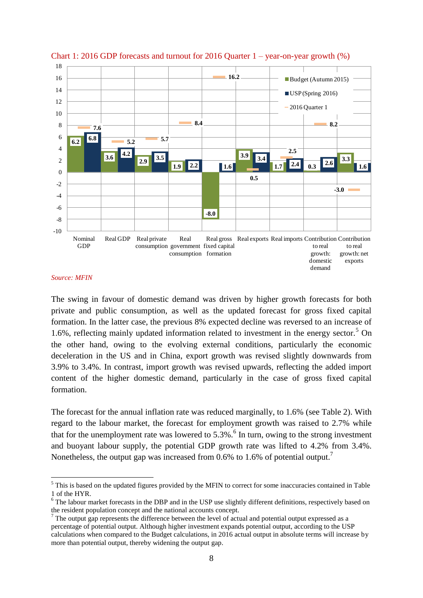

#### Chart 1: 2016 GDP forecasts and turnout for 2016 Quarter 1 – year-on-year growth (%)

#### *Source: MFIN*

1

The swing in favour of domestic demand was driven by higher growth forecasts for both private and public consumption, as well as the updated forecast for gross fixed capital formation. In the latter case, the previous 8% expected decline was reversed to an increase of 1.6%, reflecting mainly updated information related to investment in the energy sector.<sup>5</sup> On the other hand, owing to the evolving external conditions, particularly the economic deceleration in the US and in China, export growth was revised slightly downwards from 3.9% to 3.4%. In contrast, import growth was revised upwards, reflecting the added import content of the higher domestic demand, particularly in the case of gross fixed capital formation.

The forecast for the annual inflation rate was reduced marginally, to 1.6% (see Table 2). With regard to the labour market, the forecast for employment growth was raised to 2.7% while that for the unemployment rate was lowered to  $5.3\%$ .<sup>6</sup> In turn, owing to the strong investment and buoyant labour supply, the potential GDP growth rate was lifted to 4.2% from 3.4%. Nonetheless, the output gap was increased from 0.6% to 1.6% of potential output.<sup>7</sup>

<sup>&</sup>lt;sup>5</sup> This is based on the updated figures provided by the MFIN to correct for some inaccuracies contained in Table 1 of the HYR.

<sup>&</sup>lt;sup>6</sup> The labour market forecasts in the DBP and in the USP use slightly different definitions, respectively based on the resident population concept and the national accounts concept.

 $7$  The output gap represents the difference between the level of actual and potential output expressed as a percentage of potential output. Although higher investment expands potential output, according to the USP calculations when compared to the Budget calculations, in 2016 actual output in absolute terms will increase by more than potential output, thereby widening the output gap.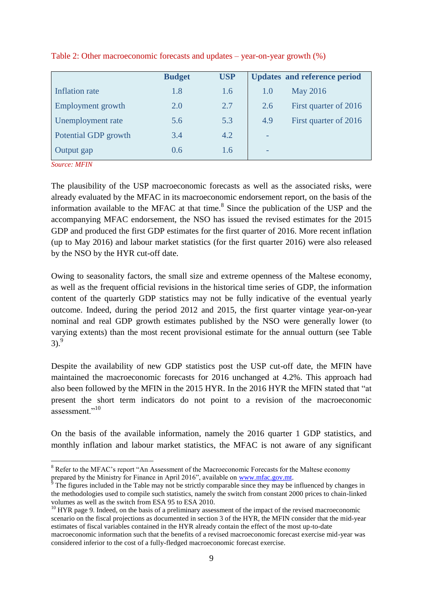|                      | <b>Budget</b> | <b>USP</b> | <b>Updates and reference period</b> |
|----------------------|---------------|------------|-------------------------------------|
| Inflation rate       | 1.8           | 1.6        | <b>May 2016</b><br>1.0              |
| Employment growth    | 2.0           | 2.7        | First quarter of 2016<br>2.6        |
| Unemployment rate    | 5.6           | 5.3        | 4.9<br>First quarter of 2016        |
| Potential GDP growth | 3.4           | 4.2        | $\overline{\phantom{0}}$            |
| Output gap           | 0.6           | 1.6        | $\overline{\phantom{0}}$            |

Table 2: Other macroeconomic forecasts and updates – year-on-year growth (%)

*Source: MFIN*

1

The plausibility of the USP macroeconomic forecasts as well as the associated risks, were already evaluated by the MFAC in its macroeconomic endorsement report, on the basis of the information available to the MFAC at that time. $8$  Since the publication of the USP and the accompanying MFAC endorsement, the NSO has issued the revised estimates for the 2015 GDP and produced the first GDP estimates for the first quarter of 2016. More recent inflation (up to May 2016) and labour market statistics (for the first quarter 2016) were also released by the NSO by the HYR cut-off date.

Owing to seasonality factors, the small size and extreme openness of the Maltese economy, as well as the frequent official revisions in the historical time series of GDP, the information content of the quarterly GDP statistics may not be fully indicative of the eventual yearly outcome. Indeed, during the period 2012 and 2015, the first quarter vintage year-on-year nominal and real GDP growth estimates published by the NSO were generally lower (to varying extents) than the most recent provisional estimate for the annual outturn (see Table  $3)$ .<sup>9</sup>

Despite the availability of new GDP statistics post the USP cut-off date, the MFIN have maintained the macroeconomic forecasts for 2016 unchanged at 4.2%. This approach had also been followed by the MFIN in the 2015 HYR. In the 2016 HYR the MFIN stated that "at present the short term indicators do not point to a revision of the macroeconomic assessment<sup>"10</sup>

On the basis of the available information, namely the 2016 quarter 1 GDP statistics, and monthly inflation and labour market statistics, the MFAC is not aware of any significant

<sup>&</sup>lt;sup>8</sup> Refer to the MFAC's report "An Assessment of the Macroeconomic Forecasts for the Maltese economy prepared by the Ministry for Finance in April 2016", available on [www.mfac.gov.mt.](http://www.mfac.gov.mt/)

The figures included in the Table may not be strictly comparable since they may be influenced by changes in the methodologies used to compile such statistics, namely the switch from constant 2000 prices to chain-linked volumes as well as the switch from ESA 95 to ESA 2010.

 $10$  HYR page 9. Indeed, on the basis of a preliminary assessment of the impact of the revised macroeconomic scenario on the fiscal projections as documented in section 3 of the HYR, the MFIN consider that the mid-year estimates of fiscal variables contained in the HYR already contain the effect of the most up-to-date macroeconomic information such that the benefits of a revised macroeconomic forecast exercise mid-year was considered inferior to the cost of a fully-fledged macroeconomic forecast exercise.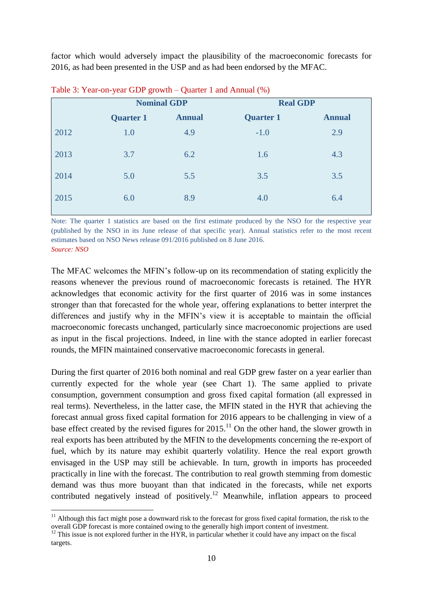factor which would adversely impact the plausibility of the macroeconomic forecasts for 2016, as had been presented in the USP and as had been endorsed by the MFAC.

|      | <b>Nominal GDP</b> |               | <b>Real GDP</b>  |               |
|------|--------------------|---------------|------------------|---------------|
|      | <b>Quarter 1</b>   | <b>Annual</b> | <b>Quarter 1</b> | <b>Annual</b> |
| 2012 | 1.0                | 4.9           | $-1.0$           | 2.9           |
| 2013 | 3.7                | 6.2           | 1.6              | 4.3           |
| 2014 | 5.0                | 5.5           | 3.5              | 3.5           |
| 2015 | 6.0                | 8.9           | 4.0              | 6.4           |

Table 3: Year-on-year GDP growth – Quarter 1 and Annual (%)

Note: The quarter 1 statistics are based on the first estimate produced by the NSO for the respective year (published by the NSO in its June release of that specific year). Annual statistics refer to the most recent estimates based on NSO News release 091/2016 published on 8 June 2016. *Source: NSO*

The MFAC welcomes the MFIN's follow-up on its recommendation of stating explicitly the reasons whenever the previous round of macroeconomic forecasts is retained. The HYR acknowledges that economic activity for the first quarter of 2016 was in some instances stronger than that forecasted for the whole year, offering explanations to better interpret the differences and justify why in the MFIN's view it is acceptable to maintain the official macroeconomic forecasts unchanged, particularly since macroeconomic projections are used as input in the fiscal projections. Indeed, in line with the stance adopted in earlier forecast rounds, the MFIN maintained conservative macroeconomic forecasts in general.

During the first quarter of 2016 both nominal and real GDP grew faster on a year earlier than currently expected for the whole year (see Chart 1). The same applied to private consumption, government consumption and gross fixed capital formation (all expressed in real terms). Nevertheless, in the latter case, the MFIN stated in the HYR that achieving the forecast annual gross fixed capital formation for 2016 appears to be challenging in view of a base effect created by the revised figures for  $2015$ .<sup>11</sup> On the other hand, the slower growth in real exports has been attributed by the MFIN to the developments concerning the re-export of fuel, which by its nature may exhibit quarterly volatility. Hence the real export growth envisaged in the USP may still be achievable. In turn, growth in imports has proceeded practically in line with the forecast. The contribution to real growth stemming from domestic demand was thus more buoyant than that indicated in the forecasts, while net exports contributed negatively instead of positively.<sup>12</sup> Meanwhile, inflation appears to proceed

1

 $11$  Although this fact might pose a downward risk to the forecast for gross fixed capital formation, the risk to the overall GDP forecast is more contained owing to the generally high import content of investment.

 $12$  This issue is not explored further in the HYR, in particular whether it could have any impact on the fiscal targets.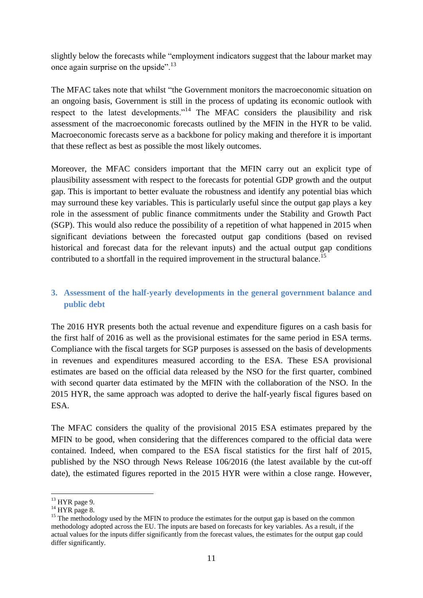slightly below the forecasts while "employment indicators suggest that the labour market may once again surprise on the upside".<sup>13</sup>

The MFAC takes note that whilst "the Government monitors the macroeconomic situation on an ongoing basis, Government is still in the process of updating its economic outlook with respect to the latest developments."<sup>14</sup> The MFAC considers the plausibility and risk assessment of the macroeconomic forecasts outlined by the MFIN in the HYR to be valid. Macroeconomic forecasts serve as a backbone for policy making and therefore it is important that these reflect as best as possible the most likely outcomes.

Moreover, the MFAC considers important that the MFIN carry out an explicit type of plausibility assessment with respect to the forecasts for potential GDP growth and the output gap. This is important to better evaluate the robustness and identify any potential bias which may surround these key variables. This is particularly useful since the output gap plays a key role in the assessment of public finance commitments under the Stability and Growth Pact (SGP). This would also reduce the possibility of a repetition of what happened in 2015 when significant deviations between the forecasted output gap conditions (based on revised historical and forecast data for the relevant inputs) and the actual output gap conditions contributed to a shortfall in the required improvement in the structural balance.<sup>15</sup>

# **3. Assessment of the half-yearly developments in the general government balance and public debt**

The 2016 HYR presents both the actual revenue and expenditure figures on a cash basis for the first half of 2016 as well as the provisional estimates for the same period in ESA terms. Compliance with the fiscal targets for SGP purposes is assessed on the basis of developments in revenues and expenditures measured according to the ESA. These ESA provisional estimates are based on the official data released by the NSO for the first quarter, combined with second quarter data estimated by the MFIN with the collaboration of the NSO. In the 2015 HYR, the same approach was adopted to derive the half-yearly fiscal figures based on ESA.

The MFAC considers the quality of the provisional 2015 ESA estimates prepared by the MFIN to be good, when considering that the differences compared to the official data were contained. Indeed, when compared to the ESA fiscal statistics for the first half of 2015, published by the NSO through News Release 106/2016 (the latest available by the cut-off date), the estimated figures reported in the 2015 HYR were within a close range. However,

<sup>1</sup>  $13$  HYR page 9.

 $14$  HYR page 8.

<sup>&</sup>lt;sup>15</sup> The methodology used by the MFIN to produce the estimates for the output gap is based on the common methodology adopted across the EU. The inputs are based on forecasts for key variables. As a result, if the actual values for the inputs differ significantly from the forecast values, the estimates for the output gap could differ significantly.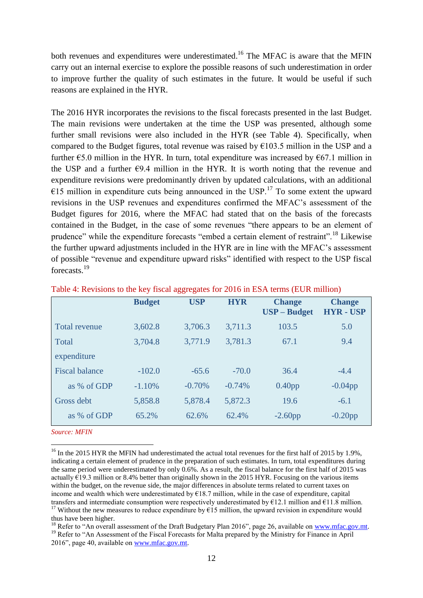both revenues and expenditures were underestimated.<sup>16</sup> The MFAC is aware that the MFIN carry out an internal exercise to explore the possible reasons of such underestimation in order to improve further the quality of such estimates in the future. It would be useful if such reasons are explained in the HYR.

The 2016 HYR incorporates the revisions to the fiscal forecasts presented in the last Budget. The main revisions were undertaken at the time the USP was presented, although some further small revisions were also included in the HYR (see Table 4). Specifically, when compared to the Budget figures, total revenue was raised by  $\epsilon$ 103.5 million in the USP and a further  $\epsilon$ 5.0 million in the HYR. In turn, total expenditure was increased by  $\epsilon$ 67.1 million in the USP and a further  $\epsilon$ 9.4 million in the HYR. It is worth noting that the revenue and expenditure revisions were predominantly driven by updated calculations, with an additional  $\epsilon$ 15 million in expenditure cuts being announced in the USP.<sup>17</sup> To some extent the upward revisions in the USP revenues and expenditures confirmed the MFAC's assessment of the Budget figures for 2016, where the MFAC had stated that on the basis of the forecasts contained in the Budget, in the case of some revenues "there appears to be an element of prudence" while the expenditure forecasts "embed a certain element of restraint".<sup>18</sup> Likewise the further upward adjustments included in the HYR are in line with the MFAC's assessment of possible "revenue and expenditure upward risks" identified with respect to the USP fiscal forecasts.<sup>19</sup>

|                       | <b>Budget</b> | <b>USP</b> | <b>HYR</b> | <b>Change</b><br><b>USP</b> – Budget | <b>Change</b><br><b>HYR-USP</b> |
|-----------------------|---------------|------------|------------|--------------------------------------|---------------------------------|
| <b>Total revenue</b>  | 3,602.8       | 3,706.3    | 3,711.3    | 103.5                                | 5.0                             |
| Total                 | 3,704.8       | 3,771.9    | 3,781.3    | 67.1                                 | 9.4                             |
| expenditure           |               |            |            |                                      |                                 |
| <b>Fiscal balance</b> | $-102.0$      | $-65.6$    | $-70.0$    | 36.4                                 | $-4.4$                          |
| as % of GDP           | $-1.10\%$     | $-0.70\%$  | $-0.74%$   | $0.40$ pp                            | $-0.04$ pp                      |
| Gross debt            | 5,858.8       | 5,878.4    | 5,872.3    | 19.6                                 | $-6.1$                          |
| as % of GDP           | 65.2%         | 62.6%      | 62.4%      | $-2.60$ pp                           | $-0.20$ pp                      |

Table 4: Revisions to the key fiscal aggregates for 2016 in ESA terms (EUR million)

*Source: MFIN*

1

<sup>&</sup>lt;sup>16</sup> In the 2015 HYR the MFIN had underestimated the actual total revenues for the first half of 2015 by 1.9%, indicating a certain element of prudence in the preparation of such estimates. In turn, total expenditures during the same period were underestimated by only 0.6%. As a result, the fiscal balance for the first half of 2015 was actually  $\epsilon$ 19.3 million or 8.4% better than originally shown in the 2015 HYR. Focusing on the various items within the budget, on the revenue side, the major differences in absolute terms related to current taxes on income and wealth which were underestimated by €18.7 million, while in the case of expenditure, capital transfers and intermediate consumption were respectively underestimated by  $\epsilon$ 12.1 million and  $\epsilon$ 11.8 million. <sup>17</sup> Without the new measures to reduce expenditure by  $\epsilon$ 15 million, the upward revision in expenditure would

thus have been higher.

<sup>&</sup>lt;sup>18</sup> Refer to "An overall assessment of the Draft Budgetary Plan 2016", page 26, available on [www.mfac.gov.mt.](http://www.mfac.gov.mt/) <sup>19</sup> Refer to "An Assessment of the Fiscal Forecasts for Malta prepared by the Ministry for Finance in April 2016", page 40, available on [www.mfac.gov.mt.](http://www.mfac.gov.mt/)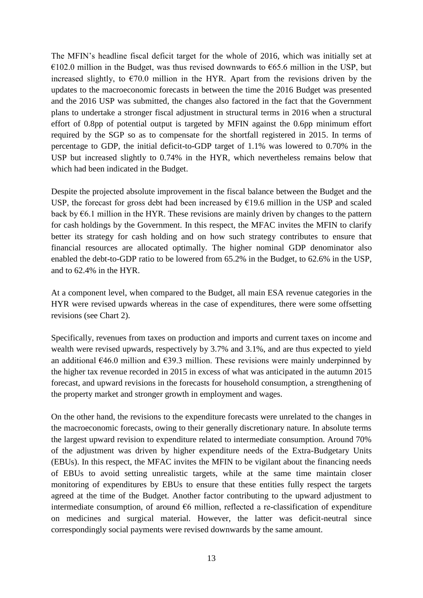The MFIN's headline fiscal deficit target for the whole of 2016, which was initially set at €102.0 million in the Budget, was thus revised downwards to €65.6 million in the USP, but increased slightly, to  $\epsilon$ 70.0 million in the HYR. Apart from the revisions driven by the updates to the macroeconomic forecasts in between the time the 2016 Budget was presented and the 2016 USP was submitted, the changes also factored in the fact that the Government plans to undertake a stronger fiscal adjustment in structural terms in 2016 when a structural effort of 0.8pp of potential output is targeted by MFIN against the 0.6pp minimum effort required by the SGP so as to compensate for the shortfall registered in 2015. In terms of percentage to GDP, the initial deficit-to-GDP target of 1.1% was lowered to 0.70% in the USP but increased slightly to 0.74% in the HYR, which nevertheless remains below that which had been indicated in the Budget.

Despite the projected absolute improvement in the fiscal balance between the Budget and the USP, the forecast for gross debt had been increased by  $E19.6$  million in the USP and scaled back by  $\epsilon$ 6.1 million in the HYR. These revisions are mainly driven by changes to the pattern for cash holdings by the Government. In this respect, the MFAC invites the MFIN to clarify better its strategy for cash holding and on how such strategy contributes to ensure that financial resources are allocated optimally. The higher nominal GDP denominator also enabled the debt-to-GDP ratio to be lowered from 65.2% in the Budget, to 62.6% in the USP, and to 62.4% in the HYR.

At a component level, when compared to the Budget, all main ESA revenue categories in the HYR were revised upwards whereas in the case of expenditures, there were some offsetting revisions (see Chart 2).

Specifically, revenues from taxes on production and imports and current taxes on income and wealth were revised upwards, respectively by 3.7% and 3.1%, and are thus expected to yield an additional  $\epsilon$ 46.0 million and  $\epsilon$ 39.3 million. These revisions were mainly underpinned by the higher tax revenue recorded in 2015 in excess of what was anticipated in the autumn 2015 forecast, and upward revisions in the forecasts for household consumption, a strengthening of the property market and stronger growth in employment and wages.

On the other hand, the revisions to the expenditure forecasts were unrelated to the changes in the macroeconomic forecasts, owing to their generally discretionary nature. In absolute terms the largest upward revision to expenditure related to intermediate consumption. Around 70% of the adjustment was driven by higher expenditure needs of the Extra-Budgetary Units (EBUs). In this respect, the MFAC invites the MFIN to be vigilant about the financing needs of EBUs to avoid setting unrealistic targets, while at the same time maintain closer monitoring of expenditures by EBUs to ensure that these entities fully respect the targets agreed at the time of the Budget. Another factor contributing to the upward adjustment to intermediate consumption, of around  $66$  million, reflected a re-classification of expenditure on medicines and surgical material. However, the latter was deficit-neutral since correspondingly social payments were revised downwards by the same amount.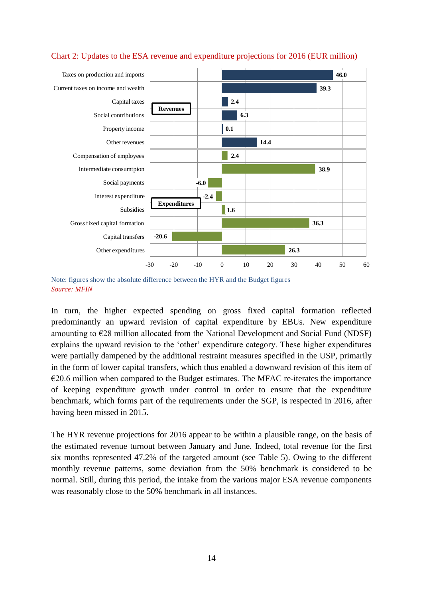

### Chart 2: Updates to the ESA revenue and expenditure projections for 2016 (EUR million)

Note: figures show the absolute difference between the HYR and the Budget figures *Source: MFIN*

In turn, the higher expected spending on gross fixed capital formation reflected predominantly an upward revision of capital expenditure by EBUs. New expenditure amounting to  $E28$  million allocated from the National Development and Social Fund (NDSF) explains the upward revision to the 'other' expenditure category. These higher expenditures were partially dampened by the additional restraint measures specified in the USP, primarily in the form of lower capital transfers, which thus enabled a downward revision of this item of  $\epsilon$ 20.6 million when compared to the Budget estimates. The MFAC re-iterates the importance of keeping expenditure growth under control in order to ensure that the expenditure benchmark, which forms part of the requirements under the SGP, is respected in 2016, after having been missed in 2015.

The HYR revenue projections for 2016 appear to be within a plausible range, on the basis of the estimated revenue turnout between January and June. Indeed, total revenue for the first six months represented 47.2% of the targeted amount (see Table 5). Owing to the different monthly revenue patterns, some deviation from the 50% benchmark is considered to be normal. Still, during this period, the intake from the various major ESA revenue components was reasonably close to the 50% benchmark in all instances.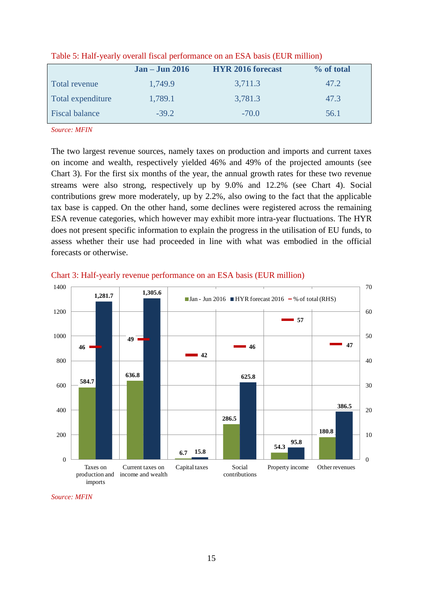|                       | $Jan - Jun 2016$ | <b>HYR 2016 forecast</b> | % of total |
|-----------------------|------------------|--------------------------|------------|
| Total revenue         | 1,749.9          | 3,711.3                  | 47.2       |
| Total expenditure     | 1,789.1          | 3,781.3                  | 47.3       |
| <b>Fiscal balance</b> | $-39.2$          | $-70.0$                  | 56.1       |

Table 5: Half-yearly overall fiscal performance on an ESA basis (EUR million)

*Source: MFIN*

The two largest revenue sources, namely taxes on production and imports and current taxes on income and wealth, respectively yielded 46% and 49% of the projected amounts (see Chart 3). For the first six months of the year, the annual growth rates for these two revenue streams were also strong, respectively up by 9.0% and 12.2% (see Chart 4). Social contributions grew more moderately, up by 2.2%, also owing to the fact that the applicable tax base is capped. On the other hand, some declines were registered across the remaining ESA revenue categories, which however may exhibit more intra-year fluctuations. The HYR does not present specific information to explain the progress in the utilisation of EU funds, to assess whether their use had proceeded in line with what was embodied in the official forecasts or otherwise.



Chart 3: Half-yearly revenue performance on an ESA basis (EUR million)

*Source: MFIN*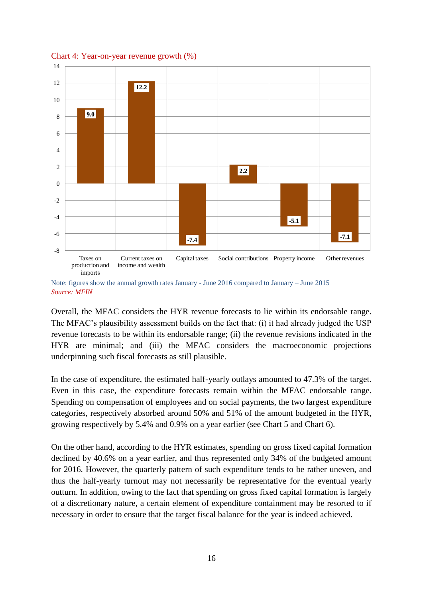

Chart 4: Year-on-year revenue growth (%)

Note: figures show the annual growth rates January - June 2016 compared to January – June 2015 *Source: MFIN*

Overall, the MFAC considers the HYR revenue forecasts to lie within its endorsable range. The MFAC's plausibility assessment builds on the fact that: (i) it had already judged the USP revenue forecasts to be within its endorsable range; (ii) the revenue revisions indicated in the HYR are minimal; and (iii) the MFAC considers the macroeconomic projections underpinning such fiscal forecasts as still plausible.

In the case of expenditure, the estimated half-yearly outlays amounted to 47.3% of the target. Even in this case, the expenditure forecasts remain within the MFAC endorsable range. Spending on compensation of employees and on social payments, the two largest expenditure categories, respectively absorbed around 50% and 51% of the amount budgeted in the HYR, growing respectively by 5.4% and 0.9% on a year earlier (see Chart 5 and Chart 6).

On the other hand, according to the HYR estimates, spending on gross fixed capital formation declined by 40.6% on a year earlier, and thus represented only 34% of the budgeted amount for 2016. However, the quarterly pattern of such expenditure tends to be rather uneven, and thus the half-yearly turnout may not necessarily be representative for the eventual yearly outturn. In addition, owing to the fact that spending on gross fixed capital formation is largely of a discretionary nature, a certain element of expenditure containment may be resorted to if necessary in order to ensure that the target fiscal balance for the year is indeed achieved.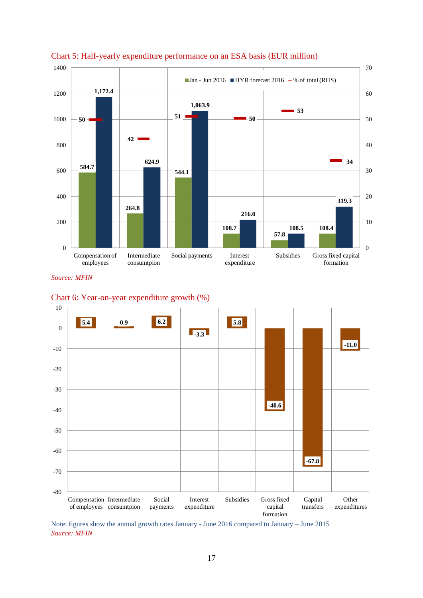



*Source: MFIN*





Note: figures show the annual growth rates January - June 2016 compared to January – June 2015 *Source: MFIN*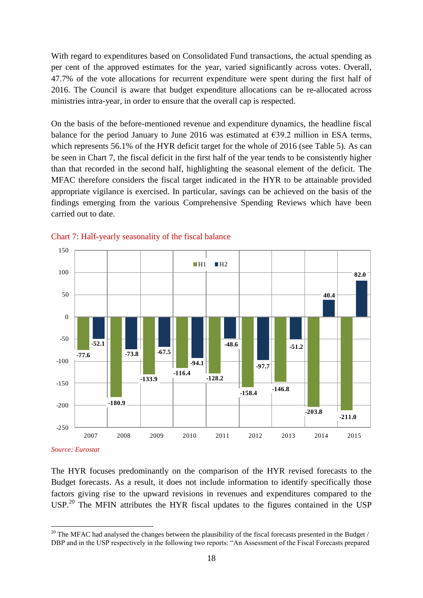With regard to expenditures based on Consolidated Fund transactions, the actual spending as per cent of the approved estimates for the year, varied significantly across votes. Overall, 47.7% of the vote allocations for recurrent expenditure were spent during the first half of 2016. The Council is aware that budget expenditure allocations can be re-allocated across ministries intra-year, in order to ensure that the overall cap is respected.

On the basis of the before-mentioned revenue and expenditure dynamics, the headline fiscal balance for the period January to June 2016 was estimated at  $\epsilon$ 39.2 million in ESA terms, which represents 56.1% of the HYR deficit target for the whole of 2016 (see Table 5). As can be seen in Chart 7, the fiscal deficit in the first half of the year tends to be consistently higher than that recorded in the second half, highlighting the seasonal element of the deficit. The MFAC therefore considers the fiscal target indicated in the HYR to be attainable provided appropriate vigilance is exercised. In particular, savings can be achieved on the basis of the findings emerging from the various Comprehensive Spending Reviews which have been carried out to date.





*Source: Eurostat*

1

The HYR focuses predominantly on the comparison of the HYR revised forecasts to the Budget forecasts. As a result, it does not include information to identify specifically those factors giving rise to the upward revisions in revenues and expenditures compared to the USP.<sup>20</sup> The MFIN attributes the HYR fiscal updates to the figures contained in the USP

<sup>&</sup>lt;sup>20</sup> The MFAC had analysed the changes between the plausibility of the fiscal forecasts presented in the Budget / DBP and in the USP respectively in the following two reports: "An Assessment of the Fiscal Forecasts prepared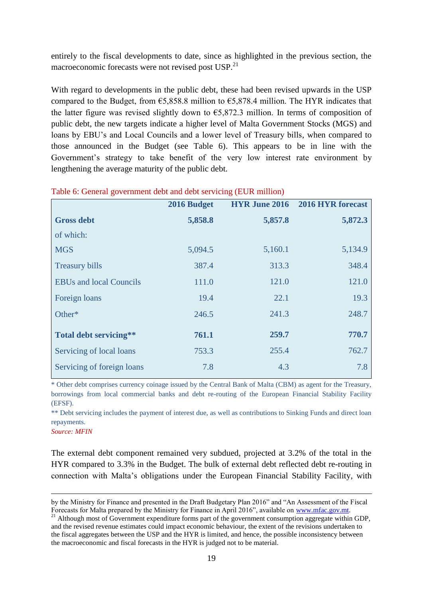entirely to the fiscal developments to date, since as highlighted in the previous section, the macroeconomic forecasts were not revised post USP.<sup>21</sup>

With regard to developments in the public debt, these had been revised upwards in the USP compared to the Budget, from  $65,858.8$  million to  $65,878.4$  million. The HYR indicates that the latter figure was revised slightly down to  $\epsilon$ 5,872.3 million. In terms of composition of public debt, the new targets indicate a higher level of Malta Government Stocks (MGS) and loans by EBU's and Local Councils and a lower level of Treasury bills, when compared to those announced in the Budget (see Table 6). This appears to be in line with the Government's strategy to take benefit of the very low interest rate environment by lengthening the average maturity of the public debt.

|                                | 2016 Budget | <b>HYR June 2016</b> | 2016 HYR forecast |
|--------------------------------|-------------|----------------------|-------------------|
| <b>Gross debt</b>              | 5,858.8     | 5,857.8              | 5,872.3           |
| of which:                      |             |                      |                   |
| <b>MGS</b>                     | 5,094.5     | 5,160.1              | 5,134.9           |
| <b>Treasury bills</b>          | 387.4       | 313.3                | 348.4             |
| <b>EBUs and local Councils</b> | 111.0       | 121.0                | 121.0             |
| Foreign loans                  | 19.4        | 22.1                 | 19.3              |
| Other*                         | 246.5       | 241.3                | 248.7             |
| Total debt servicing**         | 761.1       | 259.7                | 770.7             |
| Servicing of local loans       | 753.3       | 255.4                | 762.7             |
| Servicing of foreign loans     | 7.8         | 4.3                  | 7.8               |

### Table 6: General government debt and debt servicing (EUR million)

\* Other debt comprises currency coinage issued by the Central Bank of Malta (CBM) as agent for the Treasury, borrowings from local commercial banks and debt re-routing of the European Financial Stability Facility (EFSF).

\*\* Debt servicing includes the payment of interest due, as well as contributions to Sinking Funds and direct loan repayments.

*Source: MFIN*

1

The external debt component remained very subdued, projected at 3.2% of the total in the HYR compared to 3.3% in the Budget. The bulk of external debt reflected debt re-routing in connection with Malta's obligations under the European Financial Stability Facility, with

by the Ministry for Finance and presented in the Draft Budgetary Plan 2016" and "An Assessment of the Fiscal Forecasts for Malta prepared by the Ministry for Finance in April 2016", available on [www.mfac.gov.mt.](http://www.mfac.gov.mt/) 

<sup>&</sup>lt;sup>21</sup> Although most of Government expenditure forms part of the government consumption aggregate within GDP, and the revised revenue estimates could impact economic behaviour, the extent of the revisions undertaken to the fiscal aggregates between the USP and the HYR is limited, and hence, the possible inconsistency between the macroeconomic and fiscal forecasts in the HYR is judged not to be material.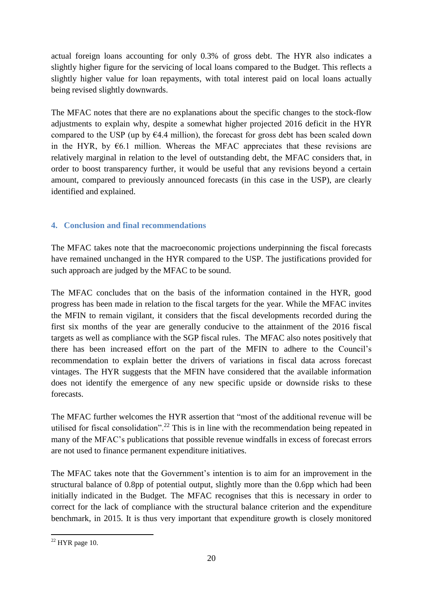actual foreign loans accounting for only 0.3% of gross debt. The HYR also indicates a slightly higher figure for the servicing of local loans compared to the Budget. This reflects a slightly higher value for loan repayments, with total interest paid on local loans actually being revised slightly downwards.

The MFAC notes that there are no explanations about the specific changes to the stock-flow adjustments to explain why, despite a somewhat higher projected 2016 deficit in the HYR compared to the USP (up by  $64.4$  million), the forecast for gross debt has been scaled down in the HYR, by  $\epsilon$ 6.1 million. Whereas the MFAC appreciates that these revisions are relatively marginal in relation to the level of outstanding debt, the MFAC considers that, in order to boost transparency further, it would be useful that any revisions beyond a certain amount, compared to previously announced forecasts (in this case in the USP), are clearly identified and explained.

# **4. Conclusion and final recommendations**

The MFAC takes note that the macroeconomic projections underpinning the fiscal forecasts have remained unchanged in the HYR compared to the USP. The justifications provided for such approach are judged by the MFAC to be sound.

The MFAC concludes that on the basis of the information contained in the HYR, good progress has been made in relation to the fiscal targets for the year. While the MFAC invites the MFIN to remain vigilant, it considers that the fiscal developments recorded during the first six months of the year are generally conducive to the attainment of the 2016 fiscal targets as well as compliance with the SGP fiscal rules. The MFAC also notes positively that there has been increased effort on the part of the MFIN to adhere to the Council's recommendation to explain better the drivers of variations in fiscal data across forecast vintages. The HYR suggests that the MFIN have considered that the available information does not identify the emergence of any new specific upside or downside risks to these forecasts.

The MFAC further welcomes the HYR assertion that "most of the additional revenue will be utilised for fiscal consolidation".<sup>22</sup> This is in line with the recommendation being repeated in many of the MFAC's publications that possible revenue windfalls in excess of forecast errors are not used to finance permanent expenditure initiatives.

The MFAC takes note that the Government's intention is to aim for an improvement in the structural balance of 0.8pp of potential output, slightly more than the 0.6pp which had been initially indicated in the Budget. The MFAC recognises that this is necessary in order to correct for the lack of compliance with the structural balance criterion and the expenditure benchmark, in 2015. It is thus very important that expenditure growth is closely monitored

<sup>1</sup>  $22$  HYR page 10.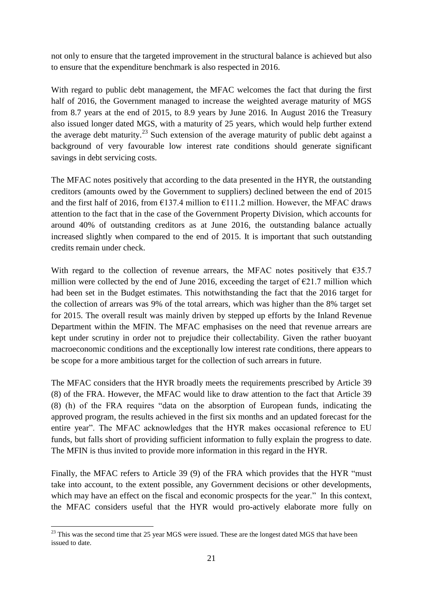not only to ensure that the targeted improvement in the structural balance is achieved but also to ensure that the expenditure benchmark is also respected in 2016.

With regard to public debt management, the MFAC welcomes the fact that during the first half of 2016, the Government managed to increase the weighted average maturity of MGS from 8.7 years at the end of 2015, to 8.9 years by June 2016. In August 2016 the Treasury also issued longer dated MGS, with a maturity of 25 years, which would help further extend the average debt maturity.<sup>23</sup> Such extension of the average maturity of public debt against a background of very favourable low interest rate conditions should generate significant savings in debt servicing costs.

The MFAC notes positively that according to the data presented in the HYR, the outstanding creditors (amounts owed by the Government to suppliers) declined between the end of 2015 and the first half of 2016, from  $\epsilon$ 137.4 million to  $\epsilon$ 111.2 million. However, the MFAC draws attention to the fact that in the case of the Government Property Division, which accounts for around 40% of outstanding creditors as at June 2016, the outstanding balance actually increased slightly when compared to the end of 2015. It is important that such outstanding credits remain under check.

With regard to the collection of revenue arrears, the MFAC notes positively that  $635.7$ million were collected by the end of June 2016, exceeding the target of  $\epsilon$ 21.7 million which had been set in the Budget estimates. This notwithstanding the fact that the 2016 target for the collection of arrears was 9% of the total arrears, which was higher than the 8% target set for 2015. The overall result was mainly driven by stepped up efforts by the Inland Revenue Department within the MFIN. The MFAC emphasises on the need that revenue arrears are kept under scrutiny in order not to prejudice their collectability. Given the rather buoyant macroeconomic conditions and the exceptionally low interest rate conditions, there appears to be scope for a more ambitious target for the collection of such arrears in future.

The MFAC considers that the HYR broadly meets the requirements prescribed by Article 39 (8) of the FRA. However, the MFAC would like to draw attention to the fact that Article 39 (8) (h) of the FRA requires "data on the absorption of European funds, indicating the approved program, the results achieved in the first six months and an updated forecast for the entire year". The MFAC acknowledges that the HYR makes occasional reference to EU funds, but falls short of providing sufficient information to fully explain the progress to date. The MFIN is thus invited to provide more information in this regard in the HYR.

Finally, the MFAC refers to Article 39 (9) of the FRA which provides that the HYR "must take into account, to the extent possible, any Government decisions or other developments, which may have an effect on the fiscal and economic prospects for the year." In this context, the MFAC considers useful that the HYR would pro-actively elaborate more fully on

<sup>1</sup>  $^{23}$  This was the second time that 25 year MGS were issued. These are the longest dated MGS that have been issued to date.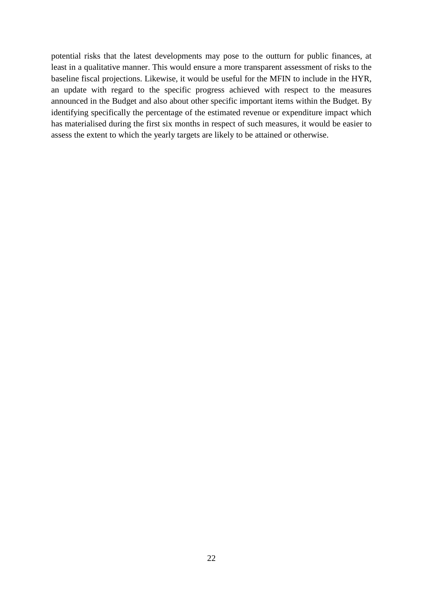potential risks that the latest developments may pose to the outturn for public finances, at least in a qualitative manner. This would ensure a more transparent assessment of risks to the baseline fiscal projections. Likewise, it would be useful for the MFIN to include in the HYR, an update with regard to the specific progress achieved with respect to the measures announced in the Budget and also about other specific important items within the Budget. By identifying specifically the percentage of the estimated revenue or expenditure impact which has materialised during the first six months in respect of such measures, it would be easier to assess the extent to which the yearly targets are likely to be attained or otherwise.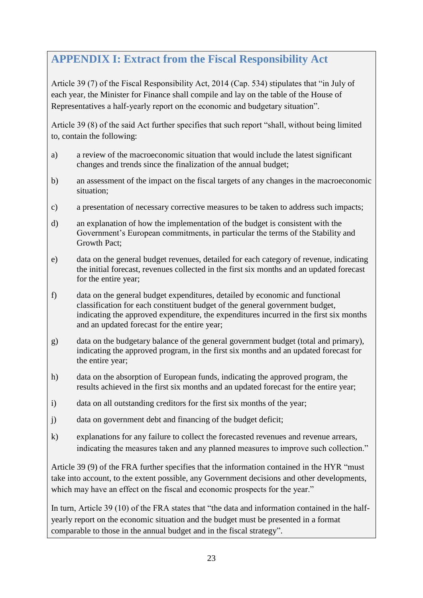# **APPENDIX I: Extract from the Fiscal Responsibility Act**

Article 39 (7) of the Fiscal Responsibility Act, 2014 (Cap. 534) stipulates that "in July of each year, the Minister for Finance shall compile and lay on the table of the House of Representatives a half-yearly report on the economic and budgetary situation".

Article 39 (8) of the said Act further specifies that such report "shall, without being limited to, contain the following:

- a) a review of the macroeconomic situation that would include the latest significant changes and trends since the finalization of the annual budget;
- b) an assessment of the impact on the fiscal targets of any changes in the macroeconomic situation;
- c) a presentation of necessary corrective measures to be taken to address such impacts;
- d) an explanation of how the implementation of the budget is consistent with the Government's European commitments, in particular the terms of the Stability and Growth Pact;
- e) data on the general budget revenues, detailed for each category of revenue, indicating the initial forecast, revenues collected in the first six months and an updated forecast for the entire year;
- f) data on the general budget expenditures, detailed by economic and functional classification for each constituent budget of the general government budget, indicating the approved expenditure, the expenditures incurred in the first six months and an updated forecast for the entire year;
- g) data on the budgetary balance of the general government budget (total and primary), indicating the approved program, in the first six months and an updated forecast for the entire year;
- h) data on the absorption of European funds, indicating the approved program, the results achieved in the first six months and an updated forecast for the entire year;
- i) data on all outstanding creditors for the first six months of the year;
- j) data on government debt and financing of the budget deficit;
- k) explanations for any failure to collect the forecasted revenues and revenue arrears, indicating the measures taken and any planned measures to improve such collection."

Article 39 (9) of the FRA further specifies that the information contained in the HYR "must take into account, to the extent possible, any Government decisions and other developments, which may have an effect on the fiscal and economic prospects for the year."

In turn, Article 39 (10) of the FRA states that "the data and information contained in the halfyearly report on the economic situation and the budget must be presented in a format comparable to those in the annual budget and in the fiscal strategy".